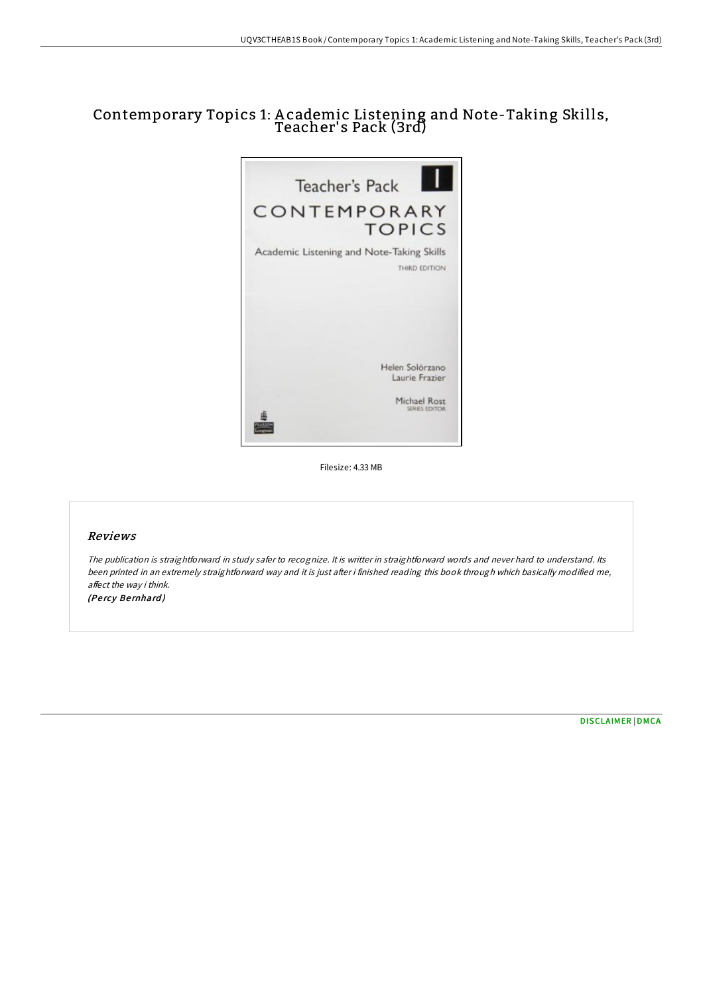# Contemporary Topics 1: A cademic Listening and Note-Taking Skills, Teacher's Pack (3rd)



Filesize: 4.33 MB

### Reviews

The publication is straightforward in study safer to recognize. It is writter in straightforward words and never hard to understand. Its been printed in an extremely straightforward way and it is just after i finished reading this book through which basically modified me, affect the way i think. (Pe rcy Be rnhard )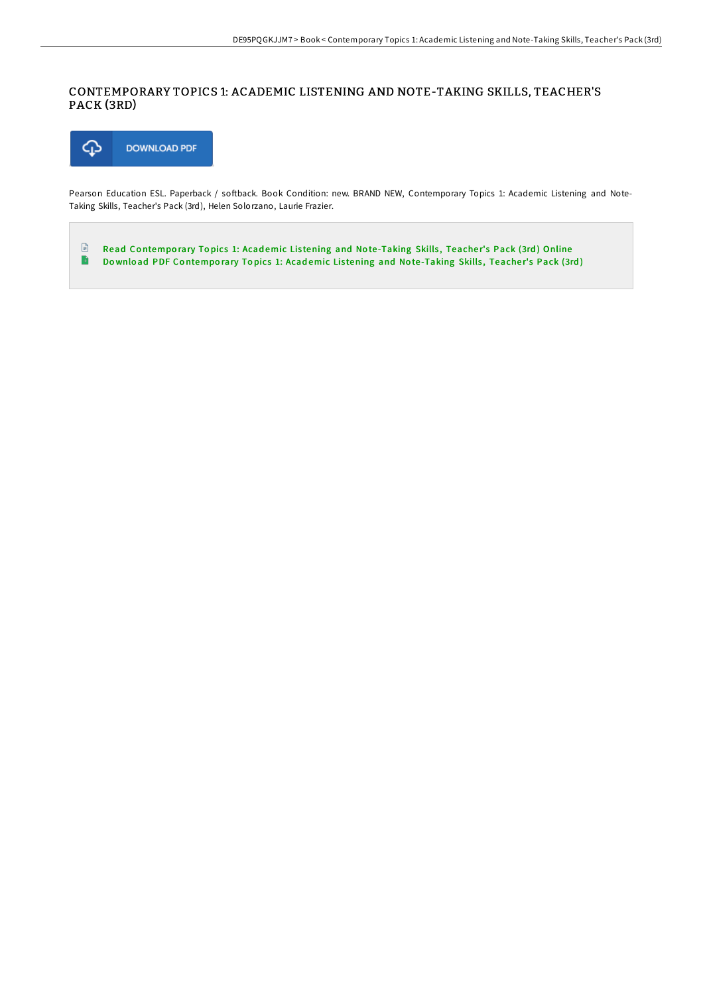## CONTEMPORARY TOPICS 1: ACADEMIC LISTENING AND NOTE-TAKING SKILLS, TEACHER'S PACK (3RD)



Pearson Education ESL. Paperback / softback. Book Condition: new. BRAND NEW, Contemporary Topics 1: Academic Listening and Note-Taking Skills, Teacher's Pack (3rd), Helen Solorzano, Laurie Frazier.

 $\mathbf{E}$ Read Co[ntempo](http://almighty24.tech/contemporary-topics-1-academic-listening-and-not-2.html)rary Topics 1: Academic Listening and Note-Taking Skills, Teacher's Pack (3rd) Online  $\rightarrow$ Download PDF Co[ntempo](http://almighty24.tech/contemporary-topics-1-academic-listening-and-not-2.html)rary Topics 1: Academic Listening and Note-Taking Skills, Teacher's Pack (3rd)